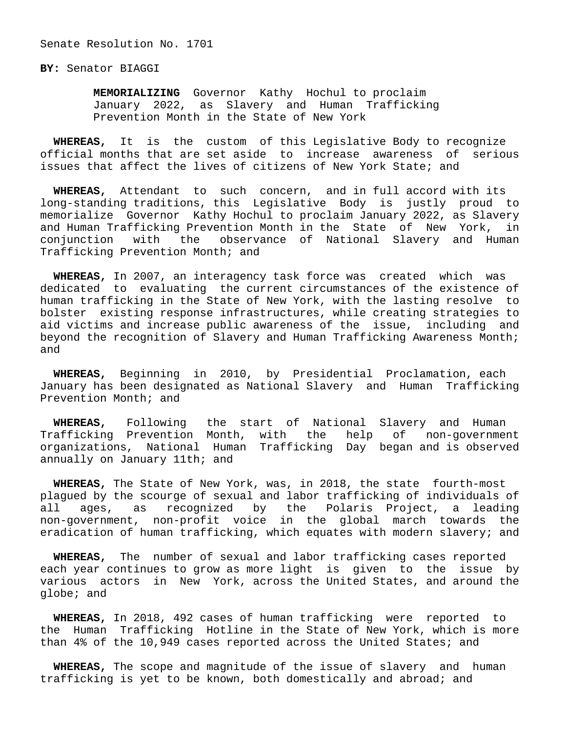Senate Resolution No. 1701

**BY:** Senator BIAGGI

 **MEMORIALIZING** Governor Kathy Hochul to proclaim January 2022, as Slavery and Human Trafficking Prevention Month in the State of New York

 **WHEREAS,** It is the custom of this Legislative Body to recognize official months that are set aside to increase awareness of serious issues that affect the lives of citizens of New York State; and

 **WHEREAS,** Attendant to such concern, and in full accord with its long-standing traditions, this Legislative Body is justly proud to memorialize Governor Kathy Hochul to proclaim January 2022, as Slavery and Human Trafficking Prevention Month in the State of New York, in conjunction with the observance of National Slavery and Human Trafficking Prevention Month; and

 **WHEREAS,** In 2007, an interagency task force was created which was dedicated to evaluating the current circumstances of the existence of human trafficking in the State of New York, with the lasting resolve to bolster existing response infrastructures, while creating strategies to aid victims and increase public awareness of the issue, including and beyond the recognition of Slavery and Human Trafficking Awareness Month; and

 **WHEREAS,** Beginning in 2010, by Presidential Proclamation, each January has been designated as National Slavery and Human Trafficking Prevention Month; and

 **WHEREAS,** Following the start of National Slavery and Human Trafficking Prevention Month, with the help of non-government organizations, National Human Trafficking Day began and is observed annually on January 11th; and

 **WHEREAS,** The State of New York, was, in 2018, the state fourth-most plagued by the scourge of sexual and labor trafficking of individuals of all ages, as recognized by the Polaris Project, a leading non-government, non-profit voice in the global march towards the eradication of human trafficking, which equates with modern slavery; and

 **WHEREAS,** The number of sexual and labor trafficking cases reported each year continues to grow as more light is given to the issue by various actors in New York, across the United States, and around the globe; and

 **WHEREAS,** In 2018, 492 cases of human trafficking were reported to the Human Trafficking Hotline in the State of New York, which is more than 4% of the 10,949 cases reported across the United States; and

 **WHEREAS,** The scope and magnitude of the issue of slavery and human trafficking is yet to be known, both domestically and abroad; and